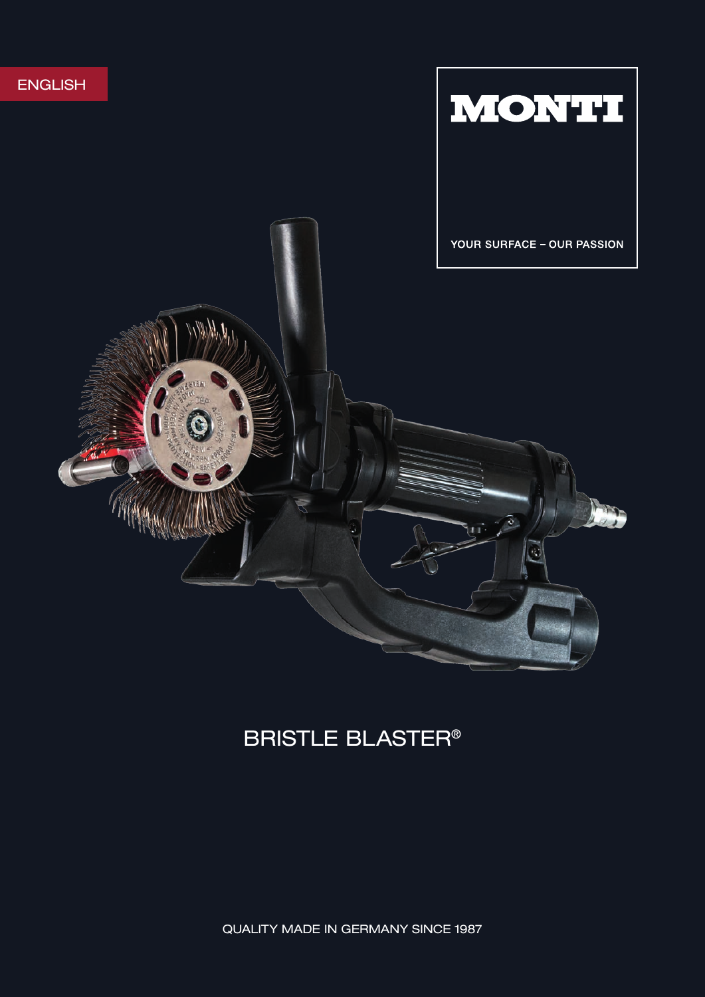

# BRISTLE BLASTER®

QUALITY MADE IN GERMANY SINCE 1987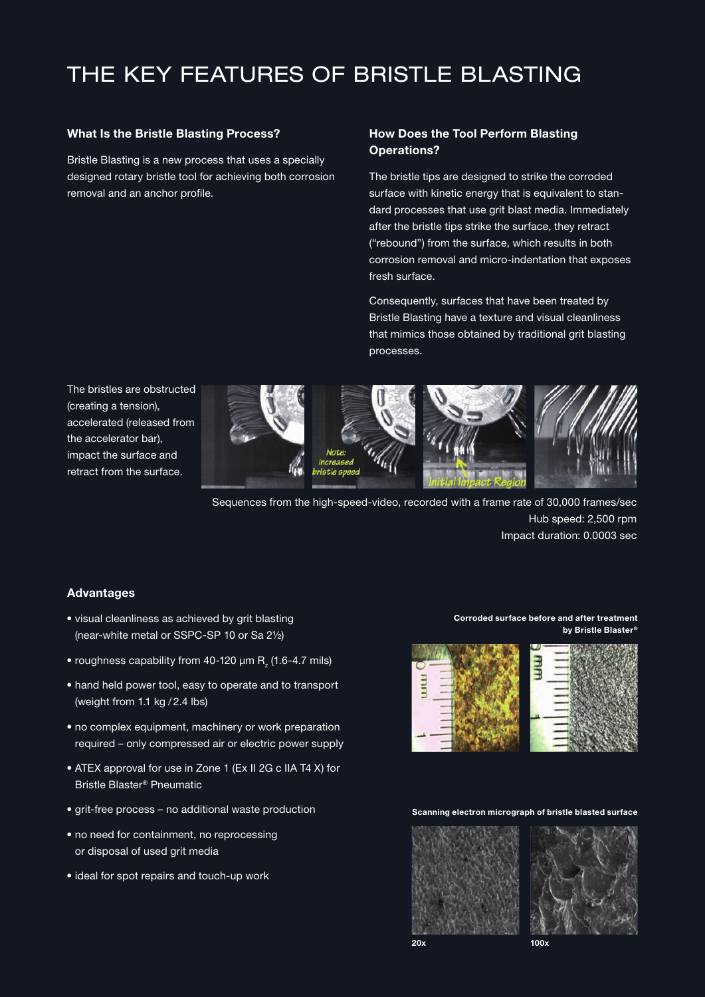## THE KEY FEATURES OF BRISTLE BLASTING

#### What Is the Bristle Blasting Process?

Bristle Blasting is a new process that uses a specially designed rotary bristle tool for achieving both corrosion removal and an anchor profile.

#### How Does the Tool Perform Blasting Operations?

The bristle tips are designed to strike the corroded surface with kinetic energy that is equivalent to standard processes that use grit blast media. Immediately after the bristle tips strike the surface, they retract ("rebound") from the surface, which results in both corrosion removal and micro-indentation that exposes fresh surface.

Consequently, surfaces that have been treated by Bristle Blasting have a texture and visual cleanliness that mimics those obtained by traditional grit blasting processes.

The bristles are obstructed (creating a tension), accelerated (released from the accelerator bar), impact the surface and retract from the surface.









Sequences from the high-speed-video, recorded with a frame rate of 30,000 frames/sec Hub speed: 2,500 rpm Impact duration: 0.0003 sec

#### Advantages

- visual cleanliness as achieved by grit blasting (near-white metal or SSPC-SP 10 or Sa 2½)
- $\bullet$  roughness capability from 40-120  $\mu$ m R<sub>z</sub> (1.6-4.7 mils)
- hand held power tool, easy to operate and to transport (weight from 1.1 kg / 2.4 lbs)
- no complex equipment, machinery or work preparation required – only compressed air or electric power supply
- ATEX approval for use in Zone 1 (Ex II 2G c IIA T4 X) for Bristle Blaster® Pneumatic
- grit-free process no additional waste production
- no need for containment, no reprocessing or disposal of used grit media
- ideal for spot repairs and touch-up work

Corroded surface before and after treatment by Bristle Blaster®



#### Scanning electron micrograph of bristle blasted surface

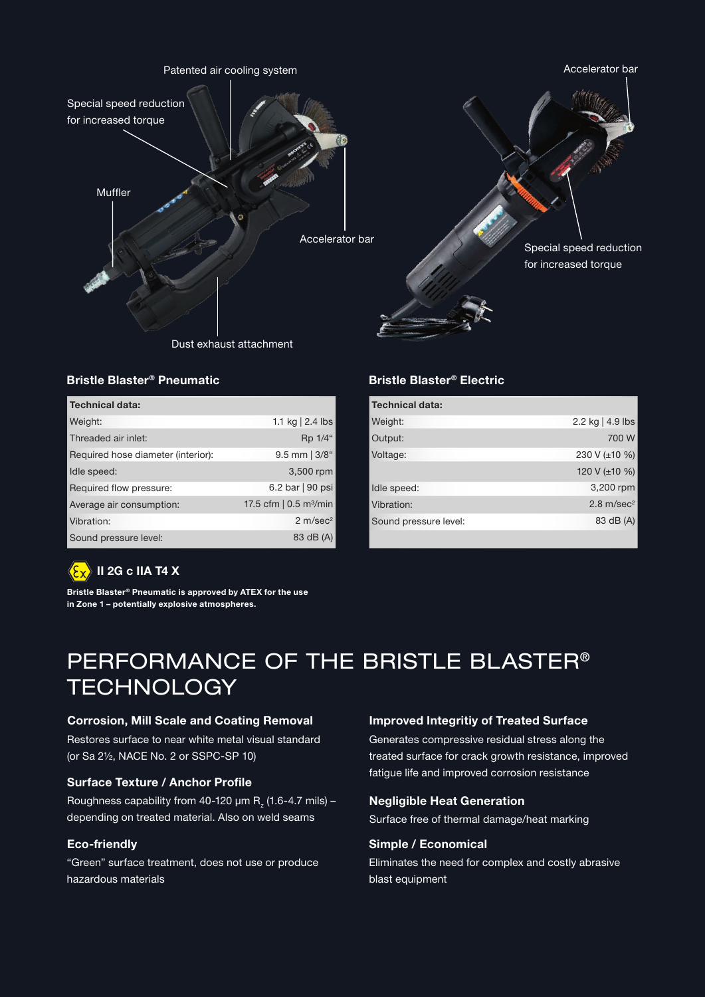

### Bristle Blaster® Pneumatic Bristle Blaster® Electric

| <b>Technical data:</b>             |                                          |
|------------------------------------|------------------------------------------|
| Weight:                            | 1.1 kg $ 2.4$ lbs                        |
| Threaded air inlet:                | Rp 1/4"                                  |
| Required hose diameter (interior): | $9.5$ mm $ 3/8$ "                        |
| Idle speed:                        | 3,500 rpm                                |
| Required flow pressure:            | 6.2 bar   90 psi                         |
| Average air consumption:           | 17.5 cfm $\vert$ 0.5 m <sup>3</sup> /min |
| Vibration:                         | 2 m/sec <sup>2</sup>                     |
| Sound pressure level:              | 83 dB (A)                                |

| <b>Technical data:</b> |                       |
|------------------------|-----------------------|
| Weight:                | 2.2 kg   4.9 lbs      |
| Output:                | 700 W                 |
| Voltage:               | 230 V (±10 %)         |
|                        | 120 V ( $\pm$ 10 %)   |
| Idle speed:            | 3,200 rpm             |
| Vibration:             | $2.8 \text{ m/sec}^2$ |
| Sound pressure level:  | 83 dB (A)             |
|                        |                       |

#### II 2G c IIA T4  $\overline{\text{X}}$  $\langle \xi_{\mathrm{X}} \rangle$

Bristle Blaster® Pneumatic is approved by ATEX for the use in Zone 1 – potentially explosive atmospheres.

## PERFORMANCE OF THE BRISTLE BLASTER® **TECHNOLOGY**

### Corrosion, Mill Scale and Coating Removal **Improved Integritiv of Treated Surface**

Restores surface to near white metal visual standard (or Sa 2½, NACE No. 2 or SSPC-SP 10)

#### Surface Texture / Anchor Profile

Roughness capability from 40-120  $\mu$ m R<sub>z</sub> (1.6-4.7 mils) – depending on treated material. Also on weld seams

#### Eco-friendly

"Green" surface treatment, does not use or produce hazardous materials

Generates compressive residual stress along the treated surface for crack growth resistance, improved fatigue life and improved corrosion resistance

#### Negligible Heat Generation

Surface free of thermal damage/heat marking

#### Simple / Economical

Eliminates the need for complex and costly abrasive blast equipment